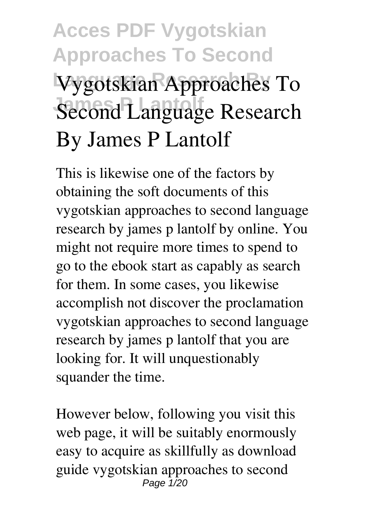# **Acces PDF Vygotskian Approaches To Second Language Research By Vygotskian Approaches To** Second Language Research **By James P Lantolf**

This is likewise one of the factors by obtaining the soft documents of this **vygotskian approaches to second language research by james p lantolf** by online. You might not require more times to spend to go to the ebook start as capably as search for them. In some cases, you likewise accomplish not discover the proclamation vygotskian approaches to second language research by james p lantolf that you are looking for. It will unquestionably squander the time.

However below, following you visit this web page, it will be suitably enormously easy to acquire as skillfully as download guide vygotskian approaches to second Page 1/20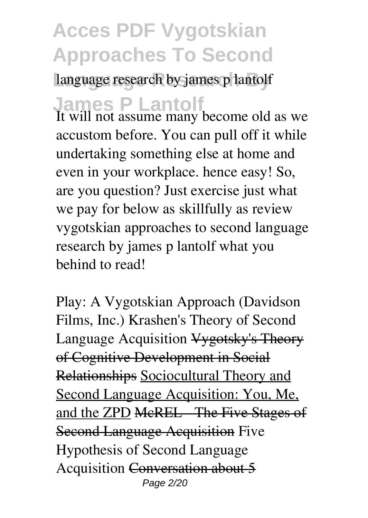language research by james p lantolf

**James P Lantolf**

It will not assume many become old as we accustom before. You can pull off it while undertaking something else at home and even in your workplace. hence easy! So, are you question? Just exercise just what we pay for below as skillfully as review **vygotskian approaches to second language research by james p lantolf** what you behind to read!

Play: A Vygotskian Approach (Davidson Films, Inc.) *Krashen's Theory of Second* Language Acquisition **Vygotsky's Theory** of Cognitive Development in Social Relationships Sociocultural Theory and Second Language Acquisition: You, Me, and the ZPD McREL The Five Stages of Second Language Acquisition *Five Hypothesis of Second Language Acquisition* Conversation about 5 Page 2/20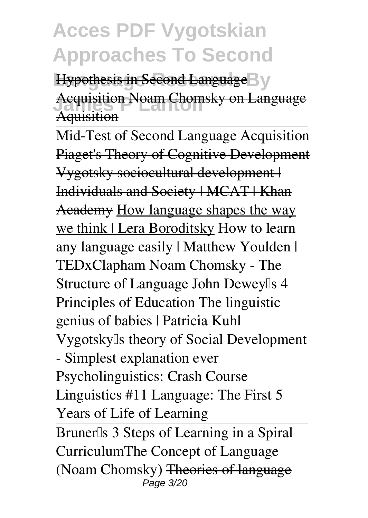Hypothesis in Second Language<sup>B</sup>y **Acquisition Noam Chomsky on Language Aquisition** 

Mid-Test of Second Language Acquisition Piaget's Theory of Cognitive Development Vygotsky sociocultural development | Individuals and Society | MCAT | Khan Academy How language shapes the way we think | Lera Boroditsky *How to learn any language easily | Matthew Youlden | TEDxClapham Noam Chomsky - The Structure of Language* **John Dewey's 4 Principles of Education** The linguistic genius of babies | Patricia Kuhl **Vygotsky's theory of Social Development - Simplest explanation ever** Psycholinguistics: Crash Course Linguistics #11 Language: The First 5 Years of Life of Learning Bruner<sup>[]</sup>s 3 Steps of Learning in a Spiral Curriculum**The Concept of Language (Noam Chomsky)** Theories of language Page 3/20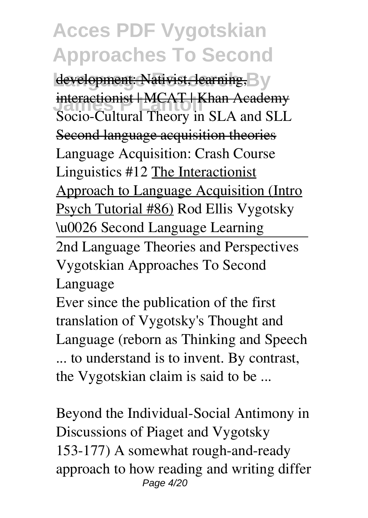development: Nativist, learning, By **Interactionist | MCAT | Khan Academy**<br>Sasis Gultural Theory in SLA and SLL *Socio-Cultural Theory in SLA and SLL* Second language acquisition theories Language Acquisition: Crash Course Linguistics #12 The Interactionist Approach to Language Acquisition (Intro Psych Tutorial #86) *Rod Ellis Vygotsky \u0026 Second Language Learning* 2nd Language Theories and Perspectives Vygotskian Approaches To Second Language

Ever since the publication of the first translation of Vygotsky's Thought and Language (reborn as Thinking and Speech ... to understand is to invent. By contrast, the Vygotskian claim is said to be ...

Beyond the Individual-Social Antimony in Discussions of Piaget and Vygotsky 153-177) A somewhat rough-and-ready approach to how reading and writing differ Page 4/20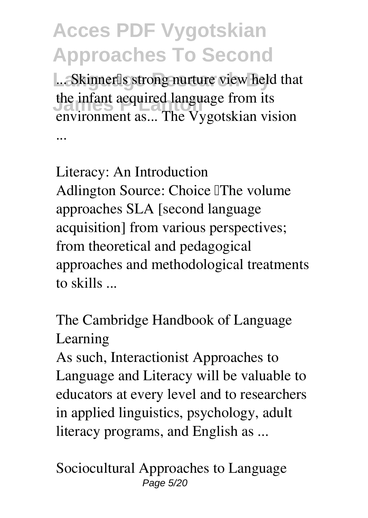... Skinner<sup>[]</sup>s strong nurture view held that the infant acquired language from its<br> **The Muschline** environment as... The Vygotskian vision ...

Literacy: An Introduction Adlington Source: Choice The volume approaches SLA [second language acquisition] from various perspectives; from theoretical and pedagogical approaches and methodological treatments to skills ...

The Cambridge Handbook of Language Learning

As such, Interactionist Approaches to Language and Literacy will be valuable to educators at every level and to researchers in applied linguistics, psychology, adult literacy programs, and English as ...

Sociocultural Approaches to Language Page 5/20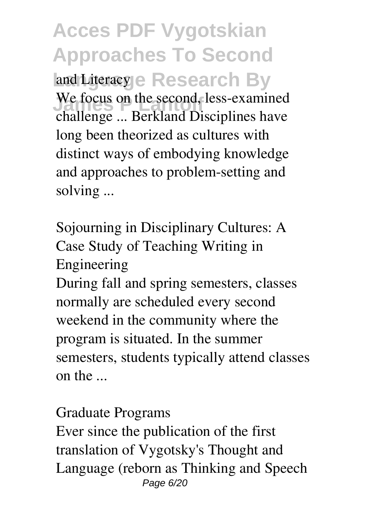**Acces PDF Vygotskian Approaches To Second** and Literacy e Research By We focus on the second, less-examined<br> **Partly at Discriming hours** challenge ... Berkland Disciplines have long been theorized as cultures with distinct ways of embodying knowledge and approaches to problem-setting and solving ...

Sojourning in Disciplinary Cultures: A Case Study of Teaching Writing in Engineering

During fall and spring semesters, classes normally are scheduled every second weekend in the community where the program is situated. In the summer semesters, students typically attend classes on the ...

#### Graduate Programs

Ever since the publication of the first translation of Vygotsky's Thought and Language (reborn as Thinking and Speech Page 6/20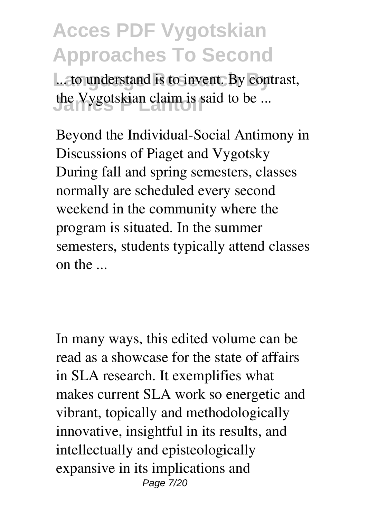... to understand is to invent. By contrast, the Vygotskian claim is said to be ...

Beyond the Individual-Social Antimony in Discussions of Piaget and Vygotsky During fall and spring semesters, classes normally are scheduled every second weekend in the community where the program is situated. In the summer semesters, students typically attend classes on the ...

In many ways, this edited volume can be read as a showcase for the state of affairs in SLA research. It exemplifies what makes current SLA work so energetic and vibrant, topically and methodologically innovative, insightful in its results, and intellectually and episteologically expansive in its implications and Page 7/20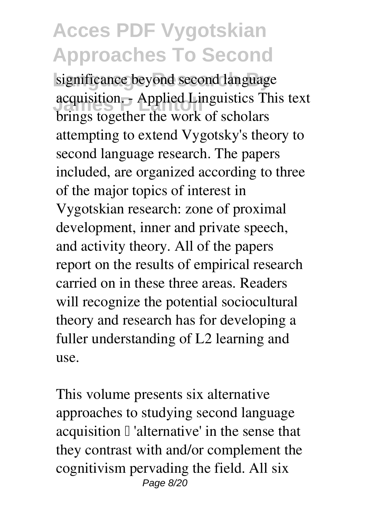significance beyond second language acquisition. - Applied Linguistics This text<br>https://www.haraba.com/action.html brings together the work of scholars attempting to extend Vygotsky's theory to second language research. The papers included, are organized according to three of the major topics of interest in Vygotskian research: zone of proximal development, inner and private speech, and activity theory. All of the papers report on the results of empirical research carried on in these three areas. Readers will recognize the potential sociocultural theory and research has for developing a fuller understanding of L2 learning and use.

This volume presents six alternative approaches to studying second language acquisition  $\mathbb I$  'alternative' in the sense that they contrast with and/or complement the cognitivism pervading the field. All six Page 8/20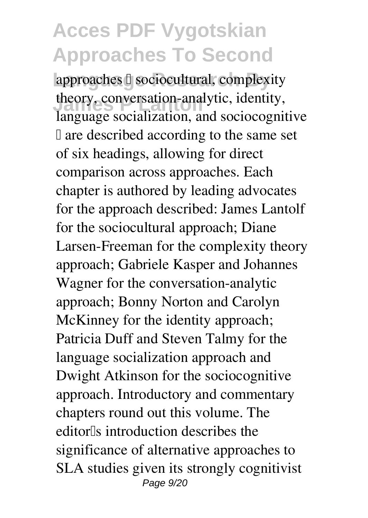approaches <sup>[]</sup> sociocultural, complexity *Incress Conversation-analytic, identity,* language socialization, and sociocognitive  $\Box$  are described according to the same set of six headings, allowing for direct comparison across approaches. Each chapter is authored by leading advocates for the approach described: James Lantolf for the sociocultural approach; Diane Larsen-Freeman for the complexity theory approach; Gabriele Kasper and Johannes Wagner for the conversation-analytic approach; Bonny Norton and Carolyn McKinney for the identity approach; Patricia Duff and Steven Talmy for the language socialization approach and Dwight Atkinson for the sociocognitive approach. Introductory and commentary chapters round out this volume. The editor<sup>[1]</sup>s introduction describes the significance of alternative approaches to SLA studies given its strongly cognitivist Page 9/20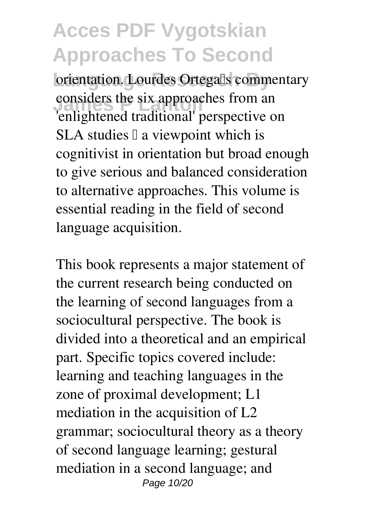orientation. Lourdes Ortegalls commentary considers the six approaches from an 'enlightened traditional' perspective on SLA studies  $\mathbb I$  a viewpoint which is cognitivist in orientation but broad enough to give serious and balanced consideration to alternative approaches. This volume is essential reading in the field of second language acquisition.

This book represents a major statement of the current research being conducted on the learning of second languages from a sociocultural perspective. The book is divided into a theoretical and an empirical part. Specific topics covered include: learning and teaching languages in the zone of proximal development; L1 mediation in the acquisition of L2 grammar; sociocultural theory as a theory of second language learning; gestural mediation in a second language; and Page 10/20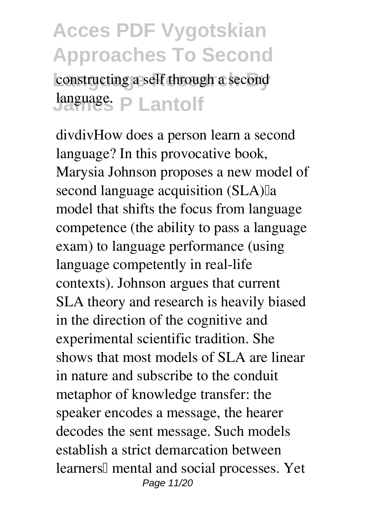constructing a self through a second **James P Lantolf** language.

divdivHow does a person learn a second language? In this provocative book, Marysia Johnson proposes a new model of second language acquisition (SLA) a model that shifts the focus from language competence (the ability to pass a language exam) to language performance (using language competently in real-life contexts). Johnson argues that current SLA theory and research is heavily biased in the direction of the cognitive and experimental scientific tradition. She shows that most models of SLA are linear in nature and subscribe to the conduit metaphor of knowledge transfer: the speaker encodes a message, the hearer decodes the sent message. Such models establish a strict demarcation between learners<sup>[]</sup> mental and social processes. Yet Page 11/20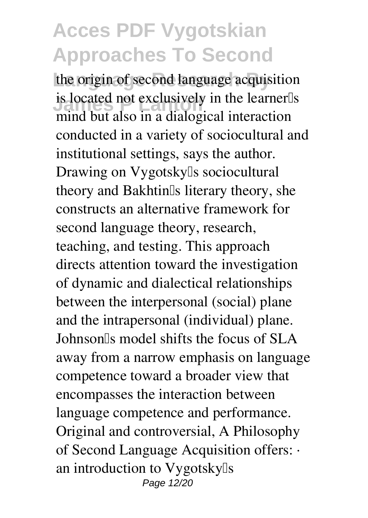the origin of second language acquisition **IS located not exclusively** is located not exclusively in the learner<sup>[1]</sup>s mind but also in a dialogical interaction conducted in a variety of sociocultural and institutional settings, says the author. Drawing on Vygotsky<sup>[]</sup>s sociocultural theory and Bakhtin<sup>[]</sup>s literary theory, she constructs an alternative framework for second language theory, research, teaching, and testing. This approach directs attention toward the investigation of dynamic and dialectical relationships between the interpersonal (social) plane and the intrapersonal (individual) plane. Johnson's model shifts the focus of SLA away from a narrow emphasis on language competence toward a broader view that encompasses the interaction between language competence and performance. Original and controversial, A Philosophy of Second Language Acquisition offers: · an introduction to Vygotsky<sup>[]</sup>s Page 12/20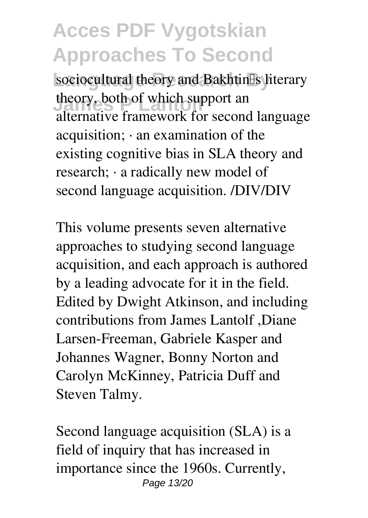sociocultural theory and Bakhtin<sup>[]</sup>s literary theory, both of which support an alternative framework for second language acquisition; · an examination of the existing cognitive bias in SLA theory and research; · a radically new model of second language acquisition. /DIV/DIV

This volume presents seven alternative approaches to studying second language acquisition, and each approach is authored by a leading advocate for it in the field. Edited by Dwight Atkinson, and including contributions from James Lantolf ,Diane Larsen-Freeman, Gabriele Kasper and Johannes Wagner, Bonny Norton and Carolyn McKinney, Patricia Duff and Steven Talmy.

Second language acquisition (SLA) is a field of inquiry that has increased in importance since the 1960s. Currently, Page 13/20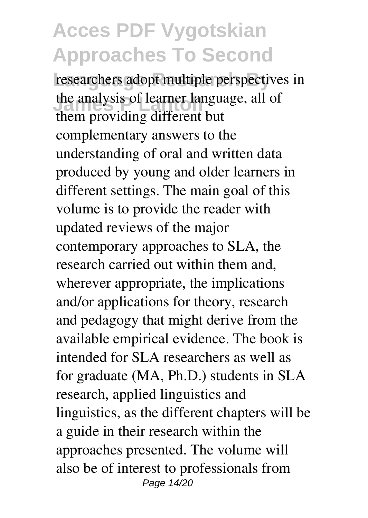researchers adopt multiple perspectives in the analysis of learner language, all of them providing different but complementary answers to the understanding of oral and written data produced by young and older learners in different settings. The main goal of this volume is to provide the reader with updated reviews of the major contemporary approaches to SLA, the research carried out within them and, wherever appropriate, the implications and/or applications for theory, research and pedagogy that might derive from the available empirical evidence. The book is intended for SLA researchers as well as for graduate (MA, Ph.D.) students in SLA research, applied linguistics and linguistics, as the different chapters will be a guide in their research within the approaches presented. The volume will also be of interest to professionals from Page 14/20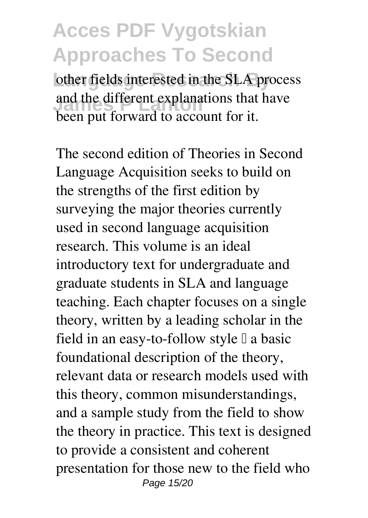other fields interested in the SLA process and the different explanations that have been put forward to account for it.

The second edition of Theories in Second Language Acquisition seeks to build on the strengths of the first edition by surveying the major theories currently used in second language acquisition research. This volume is an ideal introductory text for undergraduate and graduate students in SLA and language teaching. Each chapter focuses on a single theory, written by a leading scholar in the field in an easy-to-follow style  $\mathbb I$  a basic foundational description of the theory, relevant data or research models used with this theory, common misunderstandings, and a sample study from the field to show the theory in practice. This text is designed to provide a consistent and coherent presentation for those new to the field who Page 15/20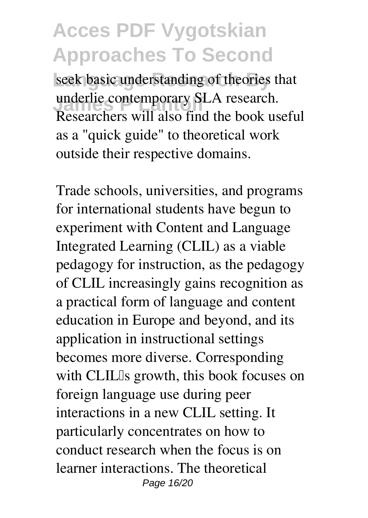seek basic understanding of theories that underlie contemporary SLA research.<br>Peasawkers will also find the healthy Researchers will also find the book useful as a "quick guide" to theoretical work outside their respective domains.

Trade schools, universities, and programs for international students have begun to experiment with Content and Language Integrated Learning (CLIL) as a viable pedagogy for instruction, as the pedagogy of CLIL increasingly gains recognition as a practical form of language and content education in Europe and beyond, and its application in instructional settings becomes more diverse. Corresponding with CLIL<sup>Is</sup> growth, this book focuses on foreign language use during peer interactions in a new CLIL setting. It particularly concentrates on how to conduct research when the focus is on learner interactions. The theoretical Page 16/20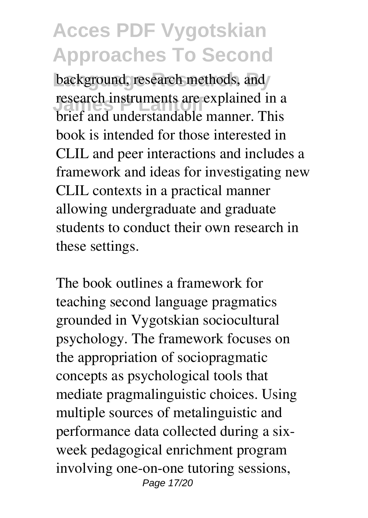background, research methods, and *Research instruments are explained in a* brief and understandable manner. This book is intended for those interested in CLIL and peer interactions and includes a framework and ideas for investigating new CLIL contexts in a practical manner allowing undergraduate and graduate students to conduct their own research in these settings.

The book outlines a framework for teaching second language pragmatics grounded in Vygotskian sociocultural psychology. The framework focuses on the appropriation of sociopragmatic concepts as psychological tools that mediate pragmalinguistic choices. Using multiple sources of metalinguistic and performance data collected during a sixweek pedagogical enrichment program involving one-on-one tutoring sessions, Page 17/20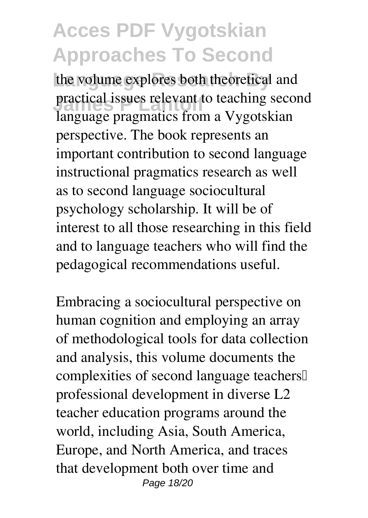the volume explores both theoretical and practical issues relevant to teaching second<br>**Language amounties** from a *Musetalian* language pragmatics from a Vygotskian perspective. The book represents an important contribution to second language instructional pragmatics research as well as to second language sociocultural psychology scholarship. It will be of interest to all those researching in this field and to language teachers who will find the pedagogical recommendations useful.

Embracing a sociocultural perspective on human cognition and employing an array of methodological tools for data collection and analysis, this volume documents the complexities of second language teachers' professional development in diverse L2 teacher education programs around the world, including Asia, South America, Europe, and North America, and traces that development both over time and Page 18/20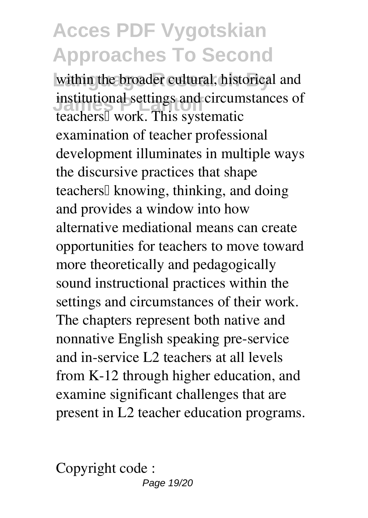within the broader cultural, historical and **Institutional settings and circumstances of** teachers<sup>[]</sup> work. This systematic examination of teacher professional development illuminates in multiple ways the discursive practices that shape teachers<sup>[]</sup> knowing, thinking, and doing and provides a window into how alternative mediational means can create opportunities for teachers to move toward more theoretically and pedagogically sound instructional practices within the settings and circumstances of their work. The chapters represent both native and nonnative English speaking pre-service and in-service L2 teachers at all levels from K-12 through higher education, and examine significant challenges that are present in L2 teacher education programs.

Copyright code : Page 19/20